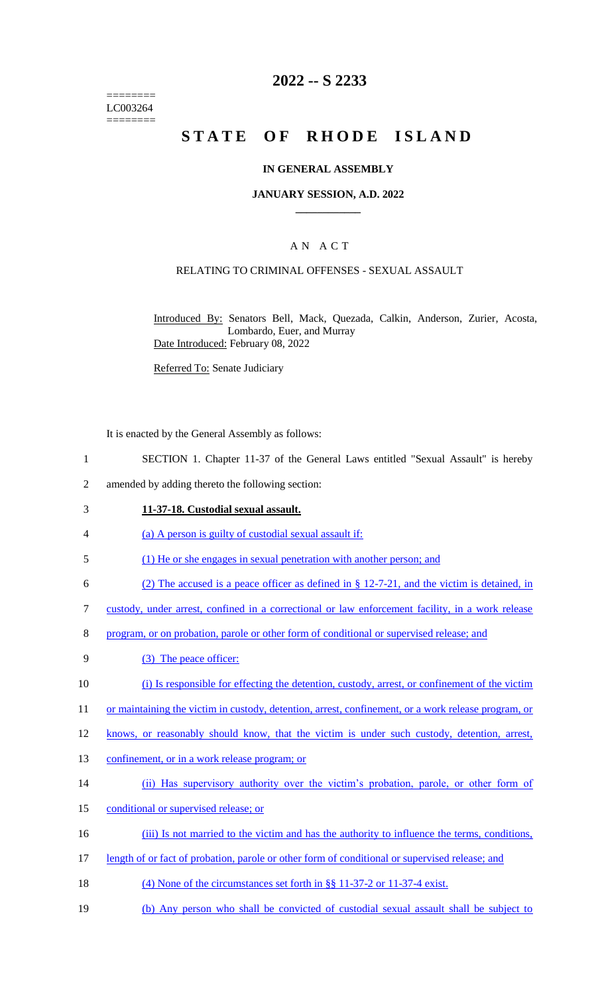======== LC003264 ========

## **2022 -- S 2233**

# **STATE OF RHODE ISLAND**

#### **IN GENERAL ASSEMBLY**

#### **JANUARY SESSION, A.D. 2022 \_\_\_\_\_\_\_\_\_\_\_\_**

## A N A C T

## RELATING TO CRIMINAL OFFENSES - SEXUAL ASSAULT

Introduced By: Senators Bell, Mack, Quezada, Calkin, Anderson, Zurier, Acosta, Lombardo, Euer, and Murray Date Introduced: February 08, 2022

Referred To: Senate Judiciary

It is enacted by the General Assembly as follows:

- 1 SECTION 1. Chapter 11-37 of the General Laws entitled "Sexual Assault" is hereby
- 2 amended by adding thereto the following section:
- 3 **11-37-18. Custodial sexual assault.**
- 4 (a) A person is guilty of custodial sexual assault if:
- 5 (1) He or she engages in sexual penetration with another person; and
- 6 (2) The accused is a peace officer as defined in § 12-7-21, and the victim is detained, in
- 7 custody, under arrest, confined in a correctional or law enforcement facility, in a work release
- 8 program, or on probation, parole or other form of conditional or supervised release; and
- 9 (3) The peace officer:
- 10 (i) Is responsible for effecting the detention, custody, arrest, or confinement of the victim
- 11 or maintaining the victim in custody, detention, arrest, confinement, or a work release program, or
- 12 knows, or reasonably should know, that the victim is under such custody, detention, arrest,
- 13 confinement, or in a work release program; or
- 14 (ii) Has supervisory authority over the victim's probation, parole, or other form of
- 15 conditional or supervised release; or
- 16 (iii) Is not married to the victim and has the authority to influence the terms, conditions,
- 17 length of or fact of probation, parole or other form of conditional or supervised release; and
- 18 (4) None of the circumstances set forth in §§ 11-37-2 or 11-37-4 exist.
- 19 (b) Any person who shall be convicted of custodial sexual assault shall be subject to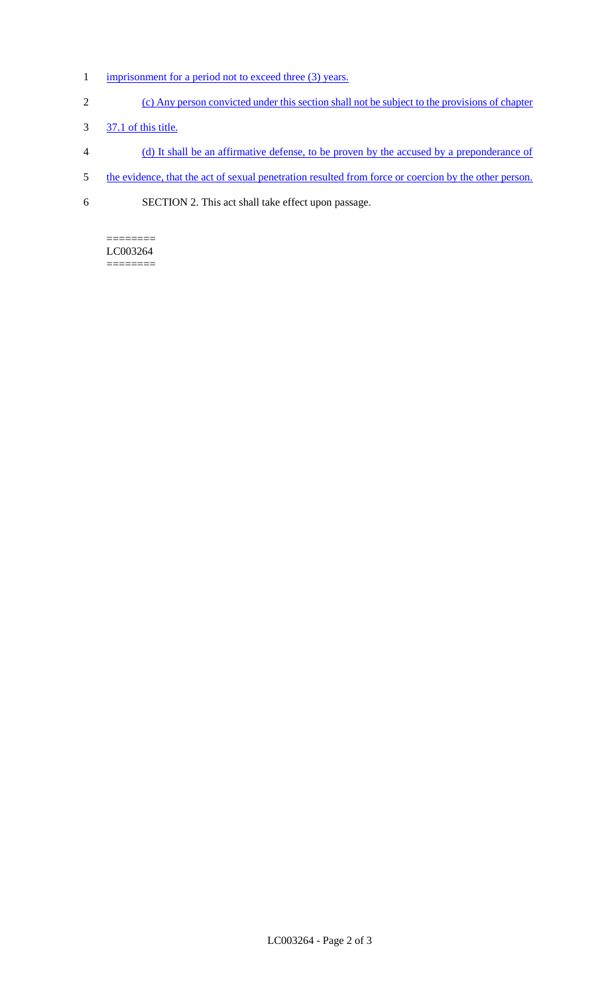- 1 imprisonment for a period not to exceed three (3) years.
- 2 (c) Any person convicted under this section shall not be subject to the provisions of chapter
- 3 37.1 of this title.
- 4 (d) It shall be an affirmative defense, to be proven by the accused by a preponderance of
- 5 the evidence, that the act of sexual penetration resulted from force or coercion by the other person.
- 6 SECTION 2. This act shall take effect upon passage.

======== LC003264 ========